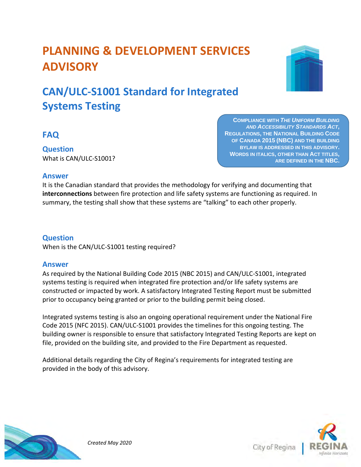# **PLANNING & DEVELOPMENT SERVICES ADVISORY**

# **CAN/ULC-S1001 Standard for Integrated Systems Testing**



**Question** What is CAN/ULC-S1001?

**COMPLIANCE WITH** *THE UNIFORM BUILDING AND ACCESSIBILITY STANDARDS ACT***, REGULATIONS, THE NATIONAL BUILDING CODE OF CANADA 2015 (NBC) AND THE BUILDING BYLAW IS ADDRESSED IN THIS ADVISORY. WORDS IN ITALICS, OTHER THAN ACT TITLES, ARE DEFINED IN THE NBC.** 

## **Answer**

It is the Canadian standard that provides the methodology for verifying and documenting that **interconnections** between fire protection and life safety systems are functioning as required. In summary, the testing shall show that these systems are "talking" to each other properly.

# **Question**

When is the CAN/ULC-S1001 testing required?

#### **Answer**

As required by the National Building Code 2015 (NBC 2015) and CAN/ULC-S1001, integrated systems testing is required when integrated fire protection and/or life safety systems are constructed or impacted by work. A satisfactory Integrated Testing Report must be submitted prior to occupancy being granted or prior to the building permit being closed.

Integrated systems testing is also an ongoing operational requirement under the National Fire Code 2015 (NFC 2015). CAN/ULC-S1001 provides the timelines for this ongoing testing. The building owner is responsible to ensure that satisfactory Integrated Testing Reports are kept on file, provided on the building site, and provided to the Fire Department as requested.

Additional details regarding the City of Regina's requirements for integrated testing are provided in the body of this advisory.



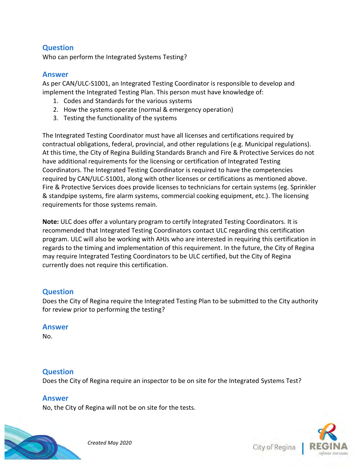# **Question**

Who can perform the Integrated Systems Testing?

#### **Answer**

As per CAN/ULC-S1001, an Integrated Testing Coordinator is responsible to develop and implement the Integrated Testing Plan. This person must have knowledge of:

- 1. Codes and Standards for the various systems
- 2. How the systems operate (normal & emergency operation)
- 3. Testing the functionality of the systems

The Integrated Testing Coordinator must have all licenses and certifications required by contractual obligations, federal, provincial, and other regulations (e.g. Municipal regulations). At this time, the City of Regina Building Standards Branch and Fire & Protective Services do not have additional requirements for the licensing or certification of Integrated Testing Coordinators. The Integrated Testing Coordinator is required to have the competencies required by CAN/ULC-S1001, along with other licenses or certifications as mentioned above. Fire & Protective Services does provide licenses to technicians for certain systems (eg. Sprinkler & standpipe systems, fire alarm systems, commercial cooking equipment, etc.). The licensing requirements for those systems remain.

**Note:** ULC does offer a voluntary program to certify Integrated Testing Coordinators. It is recommended that Integrated Testing Coordinators contact ULC regarding this certification program. ULC will also be working with AHJs who are interested in requiring this certification in regards to the timing and implementation of this requirement. In the future, the City of Regina may require Integrated Testing Coordinators to be ULC certified, but the City of Regina currently does not require this certification.

#### **Question**

Does the City of Regina require the Integrated Testing Plan to be submitted to the City authority for review prior to performing the testing?

#### **Answer**

No.

#### **Question**

Does the City of Regina require an inspector to be on site for the Integrated Systems Test?

#### **Answer**

No, the City of Regina will not be on site for the tests.





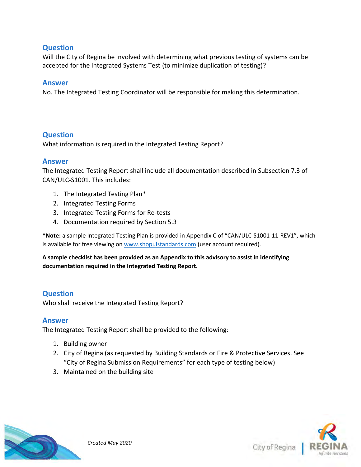## **Question**

Will the City of Regina be involved with determining what previous testing of systems can be accepted for the Integrated Systems Test (to minimize duplication of testing)?

#### **Answer**

No. The Integrated Testing Coordinator will be responsible for making this determination.

#### **Question**

What information is required in the Integrated Testing Report?

#### **Answer**

The Integrated Testing Report shall include all documentation described in Subsection 7.3 of CAN/ULC-S1001. This includes:

- 1. The Integrated Testing Plan\*
- 2. Integrated Testing Forms
- 3. Integrated Testing Forms for Re-tests
- 4. Documentation required by Section 5.3

**\*Note:** a sample Integrated Testing Plan is provided in Appendix C of "CAN/ULC-S1001-11-REV1", which is available for free viewing on [www.shopulstandards.com](http://www.shopulstandards.com/) (user account required).

**A sample checklist has been provided as an Appendix to this advisory to assist in identifying documentation required in the Integrated Testing Report.**

#### **Question**

Who shall receive the Integrated Testing Report?

#### **Answer**

The Integrated Testing Report shall be provided to the following:

- 1. Building owner
- 2. City of Regina (as requested by Building Standards or Fire & Protective Services. See "City of Regina Submission Requirements" for each type of testing below)
- 3. Maintained on the building site



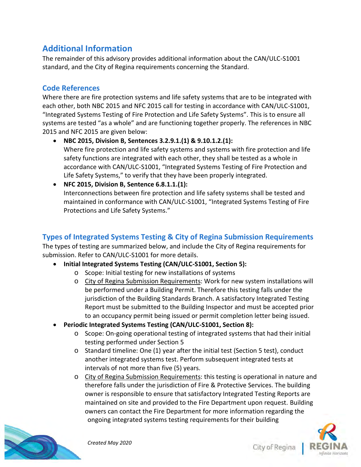# **Additional Information**

The remainder of this advisory provides additional information about the CAN/ULC-S1001 standard, and the City of Regina requirements concerning the Standard.

# **Code References**

Where there are fire protection systems and life safety systems that are to be integrated with each other, both NBC 2015 and NFC 2015 call for testing in accordance with CAN/ULC-S1001, "Integrated Systems Testing of Fire Protection and Life Safety Systems". This is to ensure all systems are tested "as a whole" and are functioning together properly. The references in NBC 2015 and NFC 2015 are given below:

- **NBC 2015, Division B, Sentences 3.2.9.1.(1) & 9.10.1.2.(1):** Where fire protection and life safety systems and systems with fire protection and life safety functions are integrated with each other, they shall be tested as a whole in accordance with CAN/ULC-S1001, "Integrated Systems Testing of Fire Protection and Life Safety Systems," to verify that they have been properly integrated.
- **NFC 2015, Division B, Sentence 6.8.1.1.(1):** Interconnections between fire protection and life safety systems shall be tested and maintained in conformance with CAN/ULC-S1001, "Integrated Systems Testing of Fire Protections and Life Safety Systems."

# **Types of Integrated Systems Testing & City of Regina Submission Requirements**

The types of testing are summarized below, and include the City of Regina requirements for submission. Refer to CAN/ULC-S1001 for more details.

- **Initial Integrated Systems Testing (CAN/ULC-S1001, Section 5):**
	- o Scope: Initial testing for new installations of systems
	- o City of Regina Submission Requirements: Work for new system installations will be performed under a Building Permit. Therefore this testing falls under the jurisdiction of the Building Standards Branch. A satisfactory Integrated Testing Report must be submitted to the Building Inspector and must be accepted prior to an occupancy permit being issued or permit completion letter being issued.
- **Periodic Integrated Systems Testing (CAN/ULC-S1001, Section 8):**
	- $\circ$  Scope: On-going operational testing of integrated systems that had their initial testing performed under Section 5
	- o Standard timeline: One (1) year after the initial test (Section 5 test), conduct another integrated systems test. Perform subsequent integrated tests at intervals of not more than five (5) years.
	- o City of Regina Submission Requirements: this testing is operational in nature and therefore falls under the jurisdiction of Fire & Protective Services. The building owner is responsible to ensure that satisfactory Integrated Testing Reports are maintained on site and provided to the Fire Department upon request. Building owners can contact the Fire Department for more information regarding the ongoing integrated systems testing requirements for their building



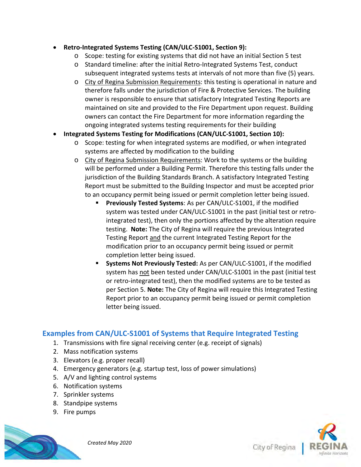#### • **Retro-Integrated Systems Testing (CAN/ULC-S1001, Section 9):**

- $\circ$  Scope: testing for existing systems that did not have an initial Section 5 test
- o Standard timeline: after the initial Retro-Integrated Systems Test, conduct subsequent integrated systems tests at intervals of not more than five (5) years.
- o City of Regina Submission Requirements: this testing is operational in nature and therefore falls under the jurisdiction of Fire & Protective Services. The building owner is responsible to ensure that satisfactory Integrated Testing Reports are maintained on site and provided to the Fire Department upon request. Building owners can contact the Fire Department for more information regarding the ongoing integrated systems testing requirements for their building

#### • **Integrated Systems Testing for Modifications (CAN/ULC-S1001, Section 10):**

- o Scope: testing for when integrated systems are modified, or when integrated systems are affected by modification to the building
- o City of Regina Submission Requirements: Work to the systems or the building will be performed under a Building Permit. Therefore this testing falls under the jurisdiction of the Building Standards Branch. A satisfactory Integrated Testing Report must be submitted to the Building Inspector and must be accepted prior to an occupancy permit being issued or permit completion letter being issued.
	- **Previously Tested Systems**: As per CAN/ULC-S1001, if the modified system was tested under CAN/ULC-S1001 in the past (initial test or retrointegrated test), then only the portions affected by the alteration require testing. **Note:** The City of Regina will require the previous Integrated Testing Report and the current Integrated Testing Report for the modification prior to an occupancy permit being issued or permit completion letter being issued.
	- **Systems Not Previously Tested:** As per CAN/ULC-S1001, if the modified system has not been tested under CAN/ULC-S1001 in the past (initial test or retro-integrated test), then the modified systems are to be tested as per Section 5. **Note:** The City of Regina will require this Integrated Testing Report prior to an occupancy permit being issued or permit completion letter being issued.

# **Examples from CAN/ULC-S1001 of Systems that Require Integrated Testing**

- 1. Transmissions with fire signal receiving center (e.g. receipt of signals)
- 2. Mass notification systems
- 3. Elevators (e.g. proper recall)
- 4. Emergency generators (e.g. startup test, loss of power simulations)
- 5. A/V and lighting control systems
- 6. Notification systems
- 7. Sprinkler systems
- 8. Standpipe systems
- 9. Fire pumps



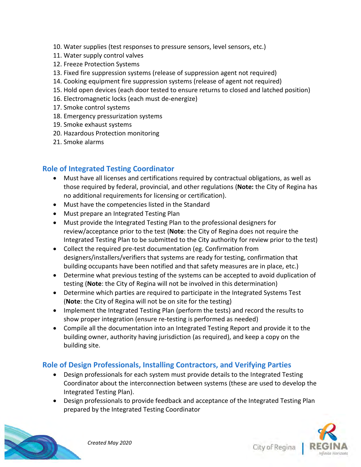- 10. Water supplies (test responses to pressure sensors, level sensors, etc.)
- 11. Water supply control valves
- 12. Freeze Protection Systems
- 13. Fixed fire suppression systems (release of suppression agent not required)
- 14. Cooking equipment fire suppression systems (release of agent not required)
- 15. Hold open devices (each door tested to ensure returns to closed and latched position)
- 16. Electromagnetic locks (each must de-energize)
- 17. Smoke control systems
- 18. Emergency pressurization systems
- 19. Smoke exhaust systems
- 20. Hazardous Protection monitoring
- 21. Smoke alarms

## **Role of Integrated Testing Coordinator**

- Must have all licenses and certifications required by contractual obligations, as well as those required by federal, provincial, and other regulations (**Note:** the City of Regina has no additional requirements for licensing or certification).
- Must have the competencies listed in the Standard
- Must prepare an Integrated Testing Plan
- Must provide the Integrated Testing Plan to the professional designers for review/acceptance prior to the test (**Note**: the City of Regina does not require the Integrated Testing Plan to be submitted to the City authority for review prior to the test)
- Collect the required pre-test documentation (eg. Confirmation from designers/installers/verifiers that systems are ready for testing, confirmation that building occupants have been notified and that safety measures are in place, etc.)
- Determine what previous testing of the systems can be accepted to avoid duplication of testing (**Note**: the City of Regina will not be involved in this determination)
- Determine which parties are required to participate in the Integrated Systems Test (**Note**: the City of Regina will not be on site for the testing)
- Implement the Integrated Testing Plan (perform the tests) and record the results to show proper integration (ensure re-testing is performed as needed)
- Compile all the documentation into an Integrated Testing Report and provide it to the building owner, authority having jurisdiction (as required), and keep a copy on the building site.

#### **Role of Design Professionals, Installing Contractors, and Verifying Parties**

- Design professionals for each system must provide details to the Integrated Testing Coordinator about the interconnection between systems (these are used to develop the Integrated Testing Plan).
- Design professionals to provide feedback and acceptance of the Integrated Testing Plan prepared by the Integrated Testing Coordinator



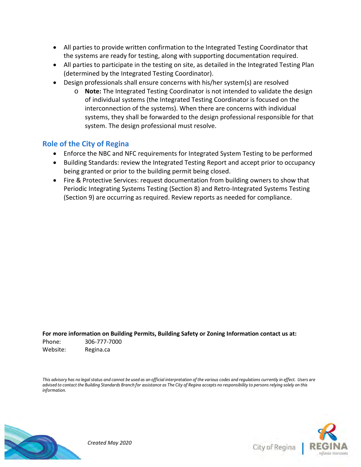- All parties to provide written confirmation to the Integrated Testing Coordinator that the systems are ready for testing, along with supporting documentation required.
- All parties to participate in the testing on site, as detailed in the Integrated Testing Plan (determined by the Integrated Testing Coordinator).
- Design professionals shall ensure concerns with his/her system(s) are resolved
	- o **Note:** The Integrated Testing Coordinator is not intended to validate the design of individual systems (the Integrated Testing Coordinator is focused on the interconnection of the systems). When there are concerns with individual systems, they shall be forwarded to the design professional responsible for that system. The design professional must resolve.

## **Role of the City of Regina**

- Enforce the NBC and NFC requirements for Integrated System Testing to be performed
- Building Standards: review the Integrated Testing Report and accept prior to occupancy being granted or prior to the building permit being closed.
- Fire & Protective Services: request documentation from building owners to show that Periodic Integrating Systems Testing (Section 8) and Retro-Integrated Systems Testing (Section 9) are occurring as required. Review reports as needed for compliance.

**For more information on Building Permits, Building Safety or Zoning Information contact us at:** Phone: 306-777-7000 Website: Regina.ca

*This advisory has no legal status and cannot be used as an official interpretation of the various codes and regulations currently in effect. Users are advised to contact the Building Standards Branch for assistance as The City of Regina accepts no responsibility to persons relying solely on this information.*